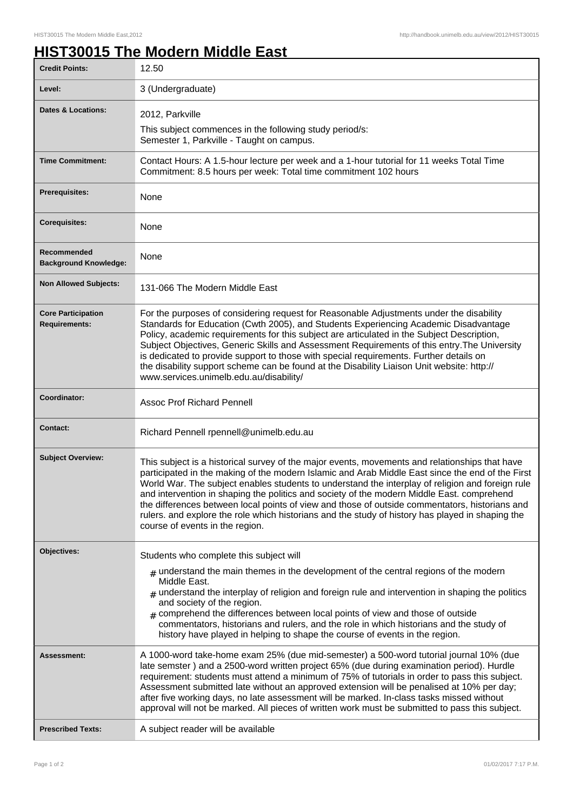## **HIST30015 The Modern Middle East**

| <b>Credit Points:</b>                             | 12.50                                                                                                                                                                                                                                                                                                                                                                                                                                                                                                                                                                                                                                         |
|---------------------------------------------------|-----------------------------------------------------------------------------------------------------------------------------------------------------------------------------------------------------------------------------------------------------------------------------------------------------------------------------------------------------------------------------------------------------------------------------------------------------------------------------------------------------------------------------------------------------------------------------------------------------------------------------------------------|
| Level:                                            | 3 (Undergraduate)                                                                                                                                                                                                                                                                                                                                                                                                                                                                                                                                                                                                                             |
| Dates & Locations:                                | 2012, Parkville<br>This subject commences in the following study period/s:<br>Semester 1, Parkville - Taught on campus.                                                                                                                                                                                                                                                                                                                                                                                                                                                                                                                       |
| <b>Time Commitment:</b>                           | Contact Hours: A 1.5-hour lecture per week and a 1-hour tutorial for 11 weeks Total Time<br>Commitment: 8.5 hours per week: Total time commitment 102 hours                                                                                                                                                                                                                                                                                                                                                                                                                                                                                   |
| <b>Prerequisites:</b>                             | None                                                                                                                                                                                                                                                                                                                                                                                                                                                                                                                                                                                                                                          |
| <b>Corequisites:</b>                              | None                                                                                                                                                                                                                                                                                                                                                                                                                                                                                                                                                                                                                                          |
| Recommended<br><b>Background Knowledge:</b>       | None                                                                                                                                                                                                                                                                                                                                                                                                                                                                                                                                                                                                                                          |
| <b>Non Allowed Subjects:</b>                      | 131-066 The Modern Middle East                                                                                                                                                                                                                                                                                                                                                                                                                                                                                                                                                                                                                |
| <b>Core Participation</b><br><b>Requirements:</b> | For the purposes of considering request for Reasonable Adjustments under the disability<br>Standards for Education (Cwth 2005), and Students Experiencing Academic Disadvantage<br>Policy, academic requirements for this subject are articulated in the Subject Description,<br>Subject Objectives, Generic Skills and Assessment Requirements of this entry. The University<br>is dedicated to provide support to those with special requirements. Further details on<br>the disability support scheme can be found at the Disability Liaison Unit website: http://<br>www.services.unimelb.edu.au/disability/                              |
| Coordinator:                                      | <b>Assoc Prof Richard Pennell</b>                                                                                                                                                                                                                                                                                                                                                                                                                                                                                                                                                                                                             |
| <b>Contact:</b>                                   | Richard Pennell rpennell@unimelb.edu.au                                                                                                                                                                                                                                                                                                                                                                                                                                                                                                                                                                                                       |
| <b>Subject Overview:</b>                          | This subject is a historical survey of the major events, movements and relationships that have<br>participated in the making of the modern Islamic and Arab Middle East since the end of the First<br>World War. The subject enables students to understand the interplay of religion and foreign rule<br>and intervention in shaping the politics and society of the modern Middle East. comprehend<br>the differences between local points of view and those of outside commentators, historians and<br>rulers. and explore the role which historians and the study of history has played in shaping the<br>course of events in the region. |
| Objectives:                                       | Students who complete this subject will<br>$_{\text{\#}}$ understand the main themes in the development of the central regions of the modern<br>Middle East.<br>$_{\#}$ understand the interplay of religion and foreign rule and intervention in shaping the politics<br>and society of the region.<br># comprehend the differences between local points of view and those of outside<br>commentators, historians and rulers, and the role in which historians and the study of<br>history have played in helping to shape the course of events in the region.                                                                               |
| Assessment:                                       | A 1000-word take-home exam 25% (due mid-semester) a 500-word tutorial journal 10% (due<br>late semster) and a 2500-word written project 65% (due during examination period). Hurdle<br>requirement: students must attend a minimum of 75% of tutorials in order to pass this subject.<br>Assessment submitted late without an approved extension will be penalised at 10% per day;<br>after five working days, no late assessment will be marked. In-class tasks missed without<br>approval will not be marked. All pieces of written work must be submitted to pass this subject.                                                            |
| <b>Prescribed Texts:</b>                          | A subject reader will be available                                                                                                                                                                                                                                                                                                                                                                                                                                                                                                                                                                                                            |